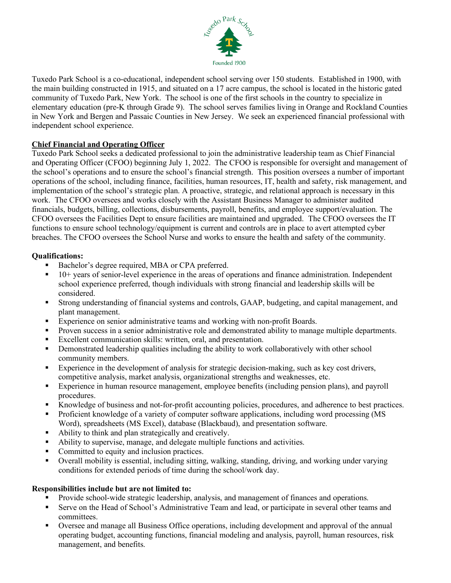

Tuxedo Park School is a co-educational, independent school serving over 150 students. Established in 1900, with the main building constructed in 1915, and situated on a 17 acre campus, the school is located in the historic gated community of Tuxedo Park, New York. The school is one of the first schools in the country to specialize in elementary education (pre-K through Grade 9). The school serves families living in Orange and Rockland Counties in New York and Bergen and Passaic Counties in New Jersey. We seek an experienced financial professional with independent school experience.

## **Chief Financial and Operating Officer**

Tuxedo Park School seeks a dedicated professional to join the administrative leadership team as Chief Financial and Operating Officer (CFOO) beginning July 1, 2022. The CFOO is responsible for oversight and management of the school's operations and to ensure the school's financial strength. This position oversees a number of important operations of the school, including finance, facilities, human resources, IT, health and safety, risk management, and implementation of the school's strategic plan. A proactive, strategic, and relational approach is necessary in this work. The CFOO oversees and works closely with the Assistant Business Manager to administer audited financials, budgets, billing, collections, disbursements, payroll, benefits, and employee support/evaluation. The CFOO oversees the Facilities Dept to ensure facilities are maintained and upgraded. The CFOO oversees the IT functions to ensure school technology/equipment is current and controls are in place to avert attempted cyber breaches. The CFOO oversees the School Nurse and works to ensure the health and safety of the community.

## **Qualifications:**

- Bachelor's degree required, MBA or CPA preferred.
- $\blacksquare$  10+ years of senior-level experience in the areas of operations and finance administration. Independent school experience preferred, though individuals with strong financial and leadership skills will be considered.
- Strong understanding of financial systems and controls, GAAP, budgeting, and capital management, and plant management.
- Experience on senior administrative teams and working with non-profit Boards.
- **Proven success in a senior administrative role and demonstrated ability to manage multiple departments.**
- Excellent communication skills: written, oral, and presentation.
- **•** Demonstrated leadership qualities including the ability to work collaboratively with other school community members.
- Experience in the development of analysis for strategic decision-making, such as key cost drivers, competitive analysis, market analysis, organizational strengths and weaknesses, etc.
- Experience in human resource management, employee benefits (including pension plans), and payroll procedures.
- Knowledge of business and not-for-profit accounting policies, procedures, and adherence to best practices.
- Proficient knowledge of a variety of computer software applications, including word processing (MS Word), spreadsheets (MS Excel), database (Blackbaud), and presentation software.
- Ability to think and plan strategically and creatively.
- Ability to supervise, manage, and delegate multiple functions and activities.
- Committed to equity and inclusion practices.
- Overall mobility is essential, including sitting, walking, standing, driving, and working under varying conditions for extended periods of time during the school/work day.

## **Responsibilities include but are not limited to:**

- Provide school-wide strategic leadership, analysis, and management of finances and operations.
- Serve on the Head of School's Administrative Team and lead, or participate in several other teams and committees.
- Oversee and manage all Business Office operations, including development and approval of the annual operating budget, accounting functions, financial modeling and analysis, payroll, human resources, risk management, and benefits.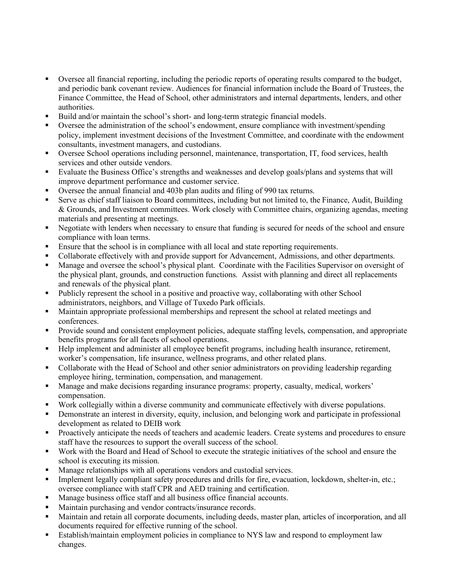- Oversee all financial reporting, including the periodic reports of operating results compared to the budget, and periodic bank covenant review. Audiences for financial information include the Board of Trustees, the Finance Committee, the Head of School, other administrators and internal departments, lenders, and other authorities.
- Build and/or maintain the school's short- and long-term strategic financial models.<br>
Nuevoe the edministration of the school's endowment, ensure compliance with inv
- Oversee the administration of the school's endowment, ensure compliance with investment/spending policy, implement investment decisions of the Investment Committee, and coordinate with the endowment consultants, investment managers, and custodians.
- Oversee School operations including personnel, maintenance, transportation, IT, food services, health services and other outside vendors.
- Evaluate the Business Office's strengths and weaknesses and develop goals/plans and systems that will improve department performance and customer service.
- Oversee the annual financial and 403b plan audits and filing of 990 tax returns.
- Serve as chief staff liaison to Board committees, including but not limited to, the Finance, Audit, Building & Grounds, and Investment committees. Work closely with Committee chairs, organizing agendas, meeting materials and presenting at meetings.
- Negotiate with lenders when necessary to ensure that funding is secured for needs of the school and ensure compliance with loan terms.
- Ensure that the school is in compliance with all local and state reporting requirements.
- Collaborate effectively with and provide support for Advancement, Admissions, and other departments.
- Manage and oversee the school's physical plant. Coordinate with the Facilities Supervisor on oversight of the physical plant, grounds, and construction functions. Assist with planning and direct all replacements and renewals of the physical plant.
- Publicly represent the school in a positive and proactive way, collaborating with other School administrators, neighbors, and Village of Tuxedo Park officials.
- **Maintain appropriate professional memberships and represent the school at related meetings and** conferences.
- Provide sound and consistent employment policies, adequate staffing levels, compensation, and appropriate benefits programs for all facets of school operations.
- Help implement and administer all employee benefit programs, including health insurance, retirement, worker's compensation, life insurance, wellness programs, and other related plans.
- Collaborate with the Head of School and other senior administrators on providing leadership regarding employee hiring, termination, compensation, and management.
- Manage and make decisions regarding insurance programs: property, casualty, medical, workers' compensation.
- Work collegially within a diverse community and communicate effectively with diverse populations.
- Demonstrate an interest in diversity, equity, inclusion, and belonging work and participate in professional development as related to DEIB work
- **Proactively anticipate the needs of teachers and academic leaders. Create systems and procedures to ensure** staff have the resources to support the overall success of the school.
- Work with the Board and Head of School to execute the strategic initiatives of the school and ensure the school is executing its mission.
- **Manage relationships with all operations vendors and custodial services.**
- Implement legally compliant safety procedures and drills for fire, evacuation, lockdown, shelter-in, etc.; oversee compliance with staff CPR and AED training and certification.
- Manage business office staff and all business office financial accounts.
- Maintain purchasing and vendor contracts/insurance records.
- Maintain and retain all corporate documents, including deeds, master plan, articles of incorporation, and all documents required for effective running of the school.
- Establish/maintain employment policies in compliance to NYS law and respond to employment law changes.